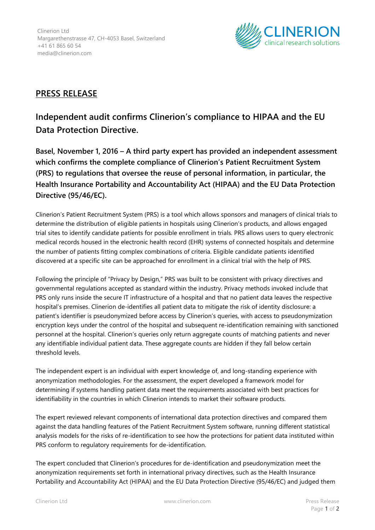

## **PRESS RELEASE**

## **Independent audit confirms Clinerion's compliance to HIPAA and the EU Data Protection Directive.**

**Basel, November 1, 2016 – A third party expert has provided an independent assessment which confirms the complete compliance of Clinerion's Patient Recruitment System (PRS) to regulations that oversee the reuse of personal information, in particular, the Health Insurance Portability and Accountability Act (HIPAA) and the EU Data Protection Directive (95/46/EC).**

Clinerion's Patient Recruitment System (PRS) is a tool which allows sponsors and managers of clinical trials to determine the distribution of eligible patients in hospitals using Clinerion's products, and allows engaged trial sites to identify candidate patients for possible enrollment in trials. PRS allows users to query electronic medical records housed in the electronic health record (EHR) systems of connected hospitals and determine the number of patients fitting complex combinations of criteria. Eligible candidate patients identified discovered at a specific site can be approached for enrollment in a clinical trial with the help of PRS.

Following the principle of "Privacy by Design," PRS was built to be consistent with privacy directives and governmental regulations accepted as standard within the industry. Privacy methods invoked include that PRS only runs inside the secure IT infrastructure of a hospital and that no patient data leaves the respective hospital's premises. Clinerion de-identifies all patient data to mitigate the risk of identity disclosure: a patient's identifier is pseudonymized before access by Clinerion's queries, with access to pseudonymization encryption keys under the control of the hospital and subsequent re-identification remaining with sanctioned personnel at the hospital. Clinerion's queries only return aggregate counts of matching patients and never any identifiable individual patient data. These aggregate counts are hidden if they fall below certain threshold levels.

The independent expert is an individual with expert knowledge of, and long-standing experience with anonymization methodologies. For the assessment, the expert developed a framework model for determining if systems handling patient data meet the requirements associated with best practices for identifiability in the countries in which Clinerion intends to market their software products.

The expert reviewed relevant components of international data protection directives and compared them against the data handling features of the Patient Recruitment System software, running different statistical analysis models for the risks of re-identification to see how the protections for patient data instituted within PRS conform to regulatory requirements for de-identification.

The expert concluded that Clinerion's procedures for de-identification and pseudonymization meet the anonymization requirements set forth in international privacy directives, such as the Health Insurance Portability and Accountability Act (HIPAA) and the EU Data Protection Directive (95/46/EC) and judged them